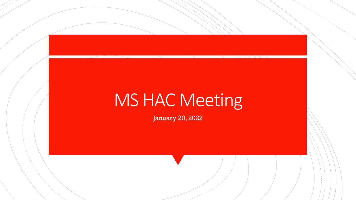# **MS HAC Meeting**

January 20, 2022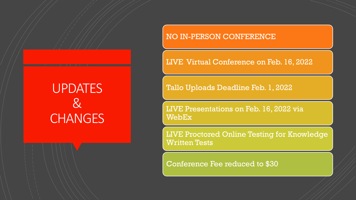## **UPDATES**  $\chi$ **CHANGES**

### NO IN-PERSON CONFERENCE

LIVE Virtual Conference on Feb. 16, 2022

Tallo Uploads Deadline Feb. 1, 2022

LIVE Presentations on Feb. 16, 2022 via WebEx

LIVE Proctored Online Testing for Knowledge Written Tests

Conference Fee reduced to \$30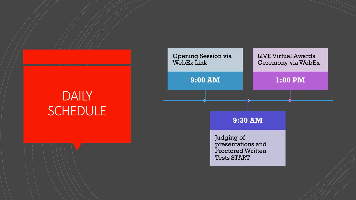## **DAILY SCHEDULE**

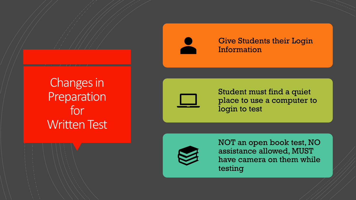



### Give Students their Login Information



Student must find a quiet place to use a computer to login to test



NOT an open book test, NO assistance allowed, MUST have camera on them while testing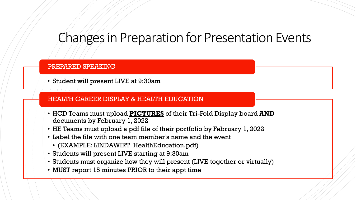### Changes in Preparation for Presentation Events

### PREPARED SPEAKING

• Student will present LIVE at 9:30am

### HEALTH CAREER DISPLAY & HEALTH EDUCATION

- HCD Teams must upload **PICTURES** of their Tri-Fold Display board **AND** documents by February 1, 2022
- HE Teams must upload a pdf file of their portfolio by February 1, 2022
- Label the file with one team member's name and the event
	- (EXAMPLE: LINDAWIRT\_HealthEducation.pdf)
- Students will present LIVE starting at 9:30am
- Students must organize how they will present (LIVE together or virtually)
- MUST report 15 minutes PRIOR to their appt time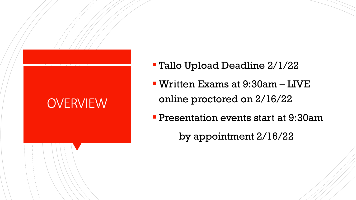# **OVERVIEW**

- Tallo Upload Deadline 2/1/22
- Written Exams at 9:30am LIVE online proctored on 2/16/22
- **Presentation events start at 9:30am**

by appointment 2/16/22